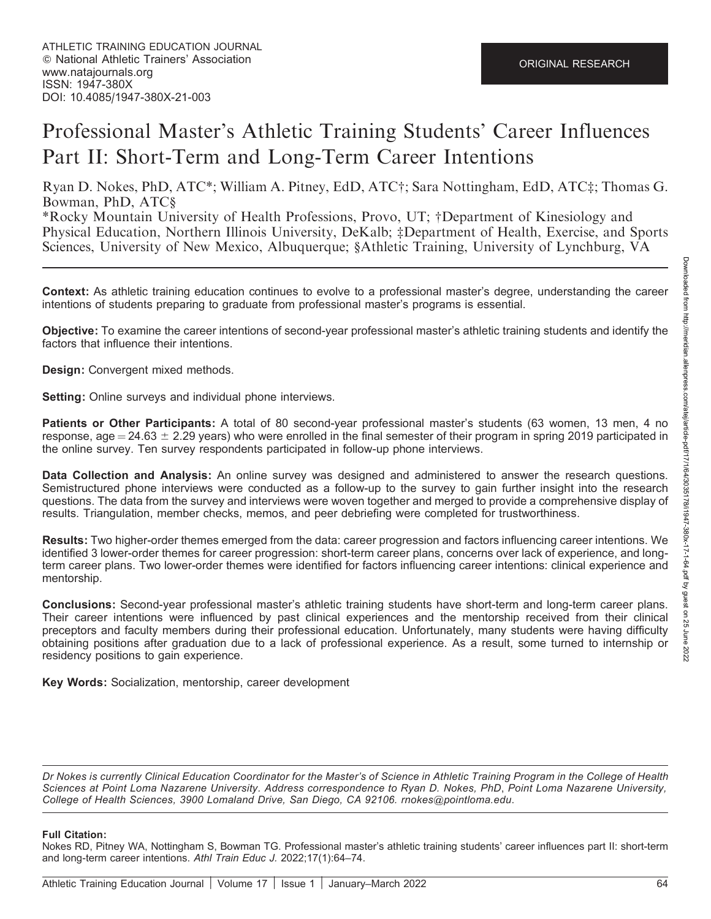# Professional Master's Athletic Training Students' Career Influences Part II: Short-Term and Long-Term Career Intentions

Ryan D. Nokes, PhD, ATC\*; William A. Pitney, EdD, ATC†; Sara Nottingham, EdD, ATC‡; Thomas G. Bowman, PhD, ATC§

\*Rocky Mountain University of Health Professions, Provo, UT; †Department of Kinesiology and Physical Education, Northern Illinois University, DeKalb; ‡Department of Health, Exercise, and Sports Sciences, University of New Mexico, Albuquerque; §Athletic Training, University of Lynchburg, VA

Context: As athletic training education continues to evolve to a professional master's degree, understanding the career intentions of students preparing to graduate from professional master's programs is essential.

Objective: To examine the career intentions of second-year professional master's athletic training students and identify the factors that influence their intentions.

Design: Convergent mixed methods.

Setting: Online surveys and individual phone interviews.

Patients or Other Participants: A total of 80 second-year professional master's students (63 women, 13 men, 4 no response, age  $= 24.63 \pm 2.29$  years) who were enrolled in the final semester of their program in spring 2019 participated in the online survey. Ten survey respondents participated in follow-up phone interviews.

Data Collection and Analysis: An online survey was designed and administered to answer the research questions. Semistructured phone interviews were conducted as a follow-up to the survey to gain further insight into the research questions. The data from the survey and interviews were woven together and merged to provide a comprehensive display of results. Triangulation, member checks, memos, and peer debriefing were completed for trustworthiness.

Results: Two higher-order themes emerged from the data: career progression and factors influencing career intentions. We identified 3 lower-order themes for career progression: short-term career plans, concerns over lack of experience, and longterm career plans. Two lower-order themes were identified for factors influencing career intentions: clinical experience and mentorship.

Conclusions: Second-year professional master's athletic training students have short-term and long-term career plans. Their career intentions were influenced by past clinical experiences and the mentorship received from their clinical preceptors and faculty members during their professional education. Unfortunately, many students were having difficulty obtaining positions after graduation due to a lack of professional experience. As a result, some turned to internship or residency positions to gain experience.

Key Words: Socialization, mentorship, career development

Dr Nokes is currently Clinical Education Coordinator for the Master's of Science in Athletic Training Program in the College of Health Sciences at Point Loma Nazarene University. Address correspondence to Ryan D. Nokes, PhD, Point Loma Nazarene University, College of Health Sciences, 3900 Lomaland Drive, San Diego, CA 92106. rnokes@pointloma.edu.

#### Full Citation:

Nokes RD, Pitney WA, Nottingham S, Bowman TG. Professional master's athletic training students' career influences part II: short-term and long-term career intentions. Athl Train Educ J. 2022;17(1):64–74.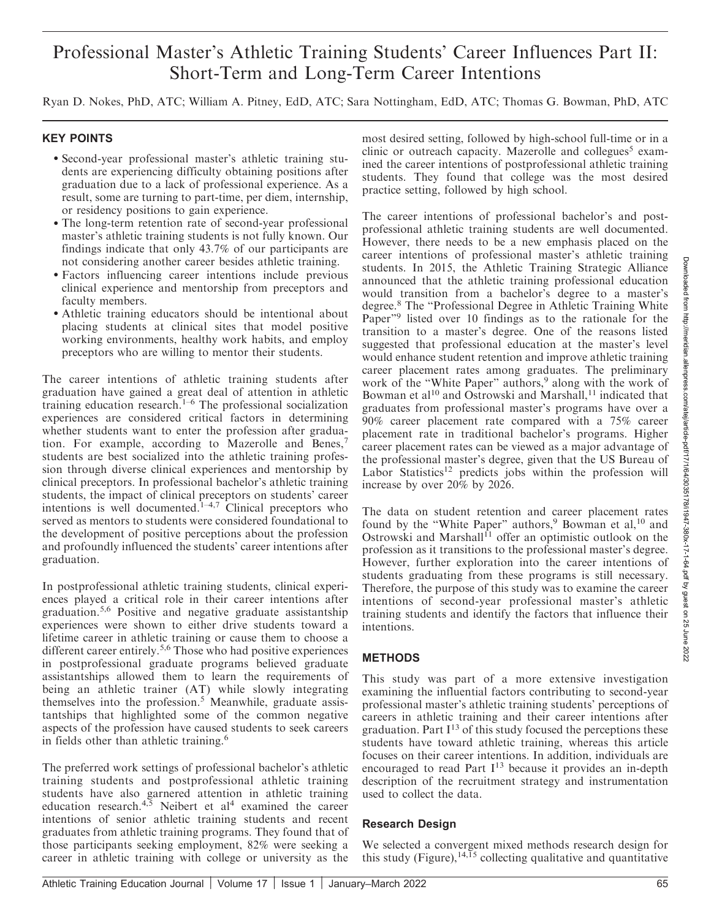## Professional Master's Athletic Training Students' Career Influences Part II: Short-Term and Long-Term Career Intentions

Ryan D. Nokes, PhD, ATC; William A. Pitney, EdD, ATC; Sara Nottingham, EdD, ATC; Thomas G. Bowman, PhD, ATC

#### KEY POINTS

- Second-year professional master's athletic training students are experiencing difficulty obtaining positions after graduation due to a lack of professional experience. As a result, some are turning to part-time, per diem, internship, or residency positions to gain experience.
- The long-term retention rate of second-year professional master's athletic training students is not fully known. Our findings indicate that only 43.7% of our participants are not considering another career besides athletic training.
- Factors influencing career intentions include previous clinical experience and mentorship from preceptors and faculty members.
- Athletic training educators should be intentional about placing students at clinical sites that model positive working environments, healthy work habits, and employ preceptors who are willing to mentor their students.

The career intentions of athletic training students after graduation have gained a great deal of attention in athletic training education research.1–6 The professional socialization experiences are considered critical factors in determining whether students want to enter the profession after graduation. For example, according to Mazerolle and Benes,<sup>7</sup> students are best socialized into the athletic training profession through diverse clinical experiences and mentorship by clinical preceptors. In professional bachelor's athletic training students, the impact of clinical preceptors on students' career intentions is well documented.<sup>1-4,7</sup> Clinical preceptors who served as mentors to students were considered foundational to the development of positive perceptions about the profession and profoundly influenced the students' career intentions after graduation.

In postprofessional athletic training students, clinical experiences played a critical role in their career intentions after graduation.5,6 Positive and negative graduate assistantship experiences were shown to either drive students toward a lifetime career in athletic training or cause them to choose a different career entirely.<sup>5,6</sup> Those who had positive experiences in postprofessional graduate programs believed graduate assistantships allowed them to learn the requirements of being an athletic trainer (AT) while slowly integrating themselves into the profession.<sup>5</sup> Meanwhile, graduate assistantships that highlighted some of the common negative aspects of the profession have caused students to seek careers in fields other than athletic training.<sup>6</sup>

The preferred work settings of professional bachelor's athletic training students and postprofessional athletic training students have also garnered attention in athletic training education research.<sup>4,5</sup> Neibert et al<sup>4</sup> examined the career intentions of senior athletic training students and recent graduates from athletic training programs. They found that of those participants seeking employment, 82% were seeking a career in athletic training with college or university as the

most desired setting, followed by high-school full-time or in a clinic or outreach capacity. Mazerolle and collegues<sup>5</sup> examined the career intentions of postprofessional athletic training students. They found that college was the most desired practice setting, followed by high school.

The career intentions of professional bachelor's and postprofessional athletic training students are well documented. However, there needs to be a new emphasis placed on the career intentions of professional master's athletic training students. In 2015, the Athletic Training Strategic Alliance announced that the athletic training professional education would transition from a bachelor's degree to a master's degree.<sup>8</sup> The ''Professional Degree in Athletic Training White Paper"<sup>9</sup> listed over 10 findings as to the rationale for the transition to a master's degree. One of the reasons listed suggested that professional education at the master's level would enhance student retention and improve athletic training career placement rates among graduates. The preliminary work of the "White Paper" authors,<sup>9</sup> along with the work of Bowman et al<sup>10</sup> and Ostrowski and Marshall,<sup>11</sup> indicated that graduates from professional master's programs have over a 90% career placement rate compared with a 75% career placement rate in traditional bachelor's programs. Higher career placement rates can be viewed as a major advantage of the professional master's degree, given that the US Bureau of Labor Statistics<sup>12</sup> predicts jobs within the profession will increase by over 20% by 2026.

The data on student retention and career placement rates found by the "White Paper" authors,<sup>9</sup> Bowman et al,<sup>10</sup> and Ostrowski and Marshall<sup>11</sup> offer an optimistic outlook on the profession as it transitions to the professional master's degree. However, further exploration into the career intentions of students graduating from these programs is still necessary. Therefore, the purpose of this study was to examine the career intentions of second-year professional master's athletic training students and identify the factors that influence their intentions.

## METHODS

This study was part of a more extensive investigation examining the influential factors contributing to second-year professional master's athletic training students' perceptions of careers in athletic training and their career intentions after graduation. Part  $I^{13}$  of this study focused the perceptions these students have toward athletic training, whereas this article focuses on their career intentions. In addition, individuals are encouraged to read Part  $I^{13}$  because it provides an in-depth description of the recruitment strategy and instrumentation used to collect the data.

## Research Design

We selected a convergent mixed methods research design for this study (Figure), $14,15$  collecting qualitative and quantitative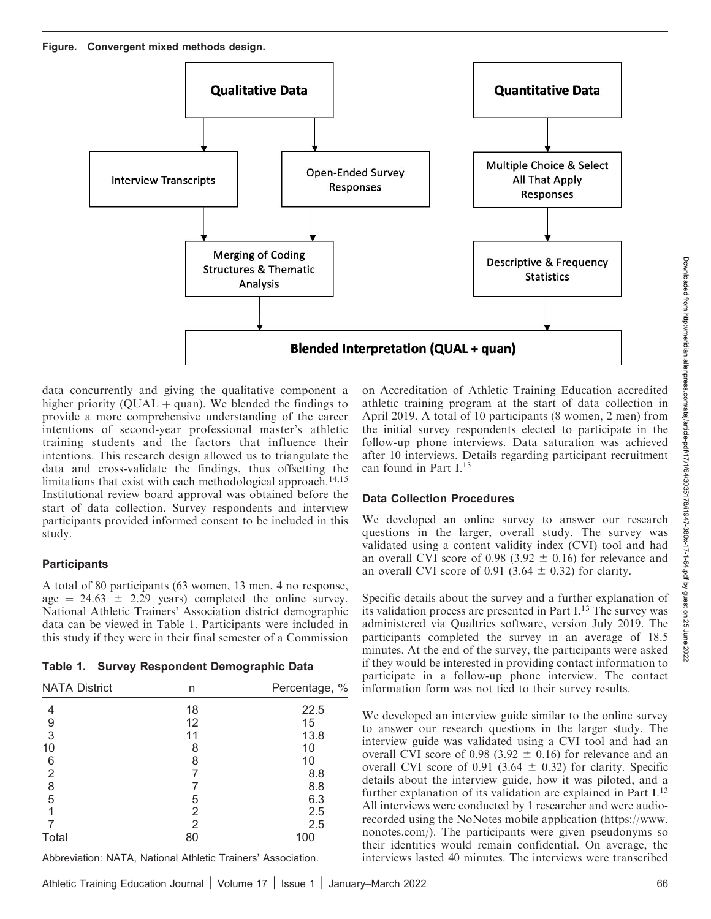Figure. Convergent mixed methods design.



data concurrently and giving the qualitative component a higher priority ( $\dot{\text{OLAL}} + \text{quan}$ ). We blended the findings to provide a more comprehensive understanding of the career intentions of second-year professional master's athletic training students and the factors that influence their intentions. This research design allowed us to triangulate the data and cross-validate the findings, thus offsetting the limitations that exist with each methodological approach.<sup>14,15</sup> Institutional review board approval was obtained before the start of data collection. Survey respondents and interview participants provided informed consent to be included in this study.

## **Participants**

A total of 80 participants (63 women, 13 men, 4 no response, age  $= 24.63 \pm 2.29$  years) completed the online survey. National Athletic Trainers' Association district demographic data can be viewed in Table 1. Participants were included in this study if they were in their final semester of a Commission

|  |  |  | Table 1. Survey Respondent Demographic Data |  |
|--|--|--|---------------------------------------------|--|
|--|--|--|---------------------------------------------|--|

| <b>NATA District</b>                  | n  | Percentage, % |
|---------------------------------------|----|---------------|
| 4                                     | 18 | 22.5          |
|                                       | 12 | 15            |
| $\frac{9}{3}$                         | 11 | 13.8          |
| 10                                    | 8  | 10            |
| 6                                     | 8  | 10            |
| $\overline{2}$                        |    | 8.8           |
| $\begin{array}{c} 8 \\ 5 \end{array}$ |    | 8.8           |
|                                       | 5  | 6.3           |
|                                       | 2  | 2.5           |
|                                       | 2  | 2.5           |
| Total                                 | 80 | 100           |

Abbreviation: NATA, National Athletic Trainers' Association.

on Accreditation of Athletic Training Education–accredited athletic training program at the start of data collection in April 2019. A total of 10 participants (8 women, 2 men) from the initial survey respondents elected to participate in the follow-up phone interviews. Data saturation was achieved after 10 interviews. Details regarding participant recruitment can found in Part I.13

## Data Collection Procedures

We developed an online survey to answer our research questions in the larger, overall study. The survey was validated using a content validity index (CVI) tool and had an overall CVI score of 0.98 (3.92  $\pm$  0.16) for relevance and an overall CVI score of 0.91 (3.64  $\pm$  0.32) for clarity.

Specific details about the survey and a further explanation of its validation process are presented in Part I.<sup>13</sup> The survey was administered via Qualtrics software, version July 2019. The participants completed the survey in an average of 18.5 minutes. At the end of the survey, the participants were asked if they would be interested in providing contact information to participate in a follow-up phone interview. The contact information form was not tied to their survey results.

We developed an interview guide similar to the online survey to answer our research questions in the larger study. The interview guide was validated using a CVI tool and had an overall CVI score of 0.98 (3.92  $\pm$  0.16) for relevance and an overall CVI score of 0.91 (3.64  $\pm$  0.32) for clarity. Specific details about the interview guide, how it was piloted, and a further explanation of its validation are explained in Part  $I<sup>13</sup>$ All interviews were conducted by 1 researcher and were audiorecorded using the NoNotes mobile application (https://www. nonotes.com/). The participants were given pseudonyms so their identities would remain confidential. On average, the interviews lasted 40 minutes. The interviews were transcribed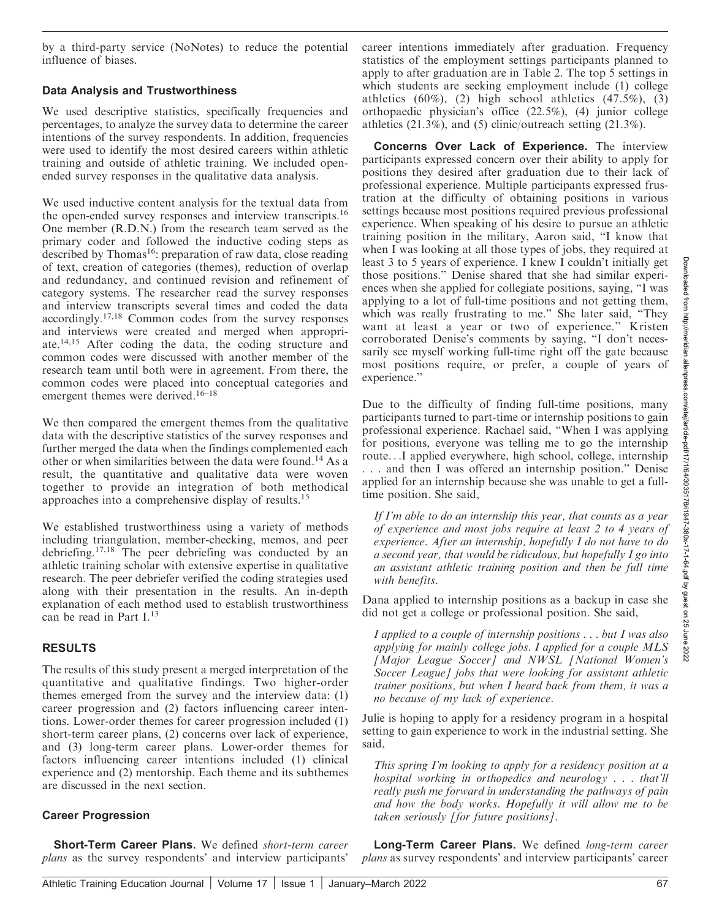by a third-party service (NoNotes) to reduce the potential influence of biases.

#### Data Analysis and Trustworthiness

We used descriptive statistics, specifically frequencies and percentages, to analyze the survey data to determine the career intentions of the survey respondents. In addition, frequencies were used to identify the most desired careers within athletic training and outside of athletic training. We included openended survey responses in the qualitative data analysis.

We used inductive content analysis for the textual data from the open-ended survey responses and interview transcripts.16 One member (R.D.N.) from the research team served as the primary coder and followed the inductive coding steps as described by Thomas<sup>16</sup>: preparation of raw data, close reading of text, creation of categories (themes), reduction of overlap and redundancy, and continued revision and refinement of category systems. The researcher read the survey responses and interview transcripts several times and coded the data accordingly.17,18 Common codes from the survey responses and interviews were created and merged when appropriate.14,15 After coding the data, the coding structure and common codes were discussed with another member of the research team until both were in agreement. From there, the common codes were placed into conceptual categories and emergent themes were derived.<sup>16–18</sup>

We then compared the emergent themes from the qualitative data with the descriptive statistics of the survey responses and further merged the data when the findings complemented each other or when similarities between the data were found.14 As a result, the quantitative and qualitative data were woven together to provide an integration of both methodical approaches into a comprehensive display of results.<sup>15</sup>

We established trustworthiness using a variety of methods including triangulation, member-checking, memos, and peer debriefing.17,18 The peer debriefing was conducted by an athletic training scholar with extensive expertise in qualitative research. The peer debriefer verified the coding strategies used along with their presentation in the results. An in-depth explanation of each method used to establish trustworthiness can be read in Part I.<sup>13</sup>

## RESULTS

The results of this study present a merged interpretation of the quantitative and qualitative findings. Two higher-order themes emerged from the survey and the interview data: (1) career progression and (2) factors influencing career intentions. Lower-order themes for career progression included (1) short-term career plans, (2) concerns over lack of experience, and (3) long-term career plans. Lower-order themes for factors influencing career intentions included (1) clinical experience and (2) mentorship. Each theme and its subthemes are discussed in the next section.

## Career Progression

Short-Term Career Plans. We defined short-term career plans as the survey respondents' and interview participants'

career intentions immediately after graduation. Frequency statistics of the employment settings participants planned to apply to after graduation are in Table 2. The top 5 settings in which students are seeking employment include (1) college athletics  $(60\%)$ ,  $(2)$  high school athletics  $(47.5\%)$ ,  $(3)$ orthopaedic physician's office (22.5%), (4) junior college athletics (21.3%), and (5) clinic/outreach setting (21.3%).

Concerns Over Lack of Experience. The interview participants expressed concern over their ability to apply for positions they desired after graduation due to their lack of professional experience. Multiple participants expressed frustration at the difficulty of obtaining positions in various settings because most positions required previous professional experience. When speaking of his desire to pursue an athletic training position in the military, Aaron said, ''I know that when I was looking at all those types of jobs, they required at least 3 to 5 years of experience. I knew I couldn't initially get those positions.'' Denise shared that she had similar experiences when she applied for collegiate positions, saying, ''I was applying to a lot of full-time positions and not getting them, which was really frustrating to me." She later said, "They want at least a year or two of experience.'' Kristen corroborated Denise's comments by saying, ''I don't necessarily see myself working full-time right off the gate because most positions require, or prefer, a couple of years of experience.''

Due to the difficulty of finding full-time positions, many participants turned to part-time or internship positions to gain professional experience. Rachael said, ''When I was applying for positions, everyone was telling me to go the internship route...I applied everywhere, high school, college, internship . . . and then I was offered an internship position.'' Denise applied for an internship because she was unable to get a fulltime position. She said,

If I'm able to do an internship this year, that counts as a year of experience and most jobs require at least 2 to 4 years of experience. After an internship, hopefully I do not have to do a second year, that would be ridiculous, but hopefully I go into an assistant athletic training position and then be full time with benefits.

Dana applied to internship positions as a backup in case she did not get a college or professional position. She said,

I applied to a couple of internship positions . . . but I was also applying for mainly college jobs. I applied for a couple MLS [Major League Soccer] and NWSL [National Women's Soccer League] jobs that were looking for assistant athletic trainer positions, but when I heard back from them, it was a no because of my lack of experience.

Julie is hoping to apply for a residency program in a hospital setting to gain experience to work in the industrial setting. She said,

This spring I'm looking to apply for a residency position at a hospital working in orthopedics and neurology . . . that'll really push me forward in understanding the pathways of pain and how the body works. Hopefully it will allow me to be taken seriously [for future positions].

Long-Term Career Plans. We defined long-term career plans as survey respondents' and interview participants' career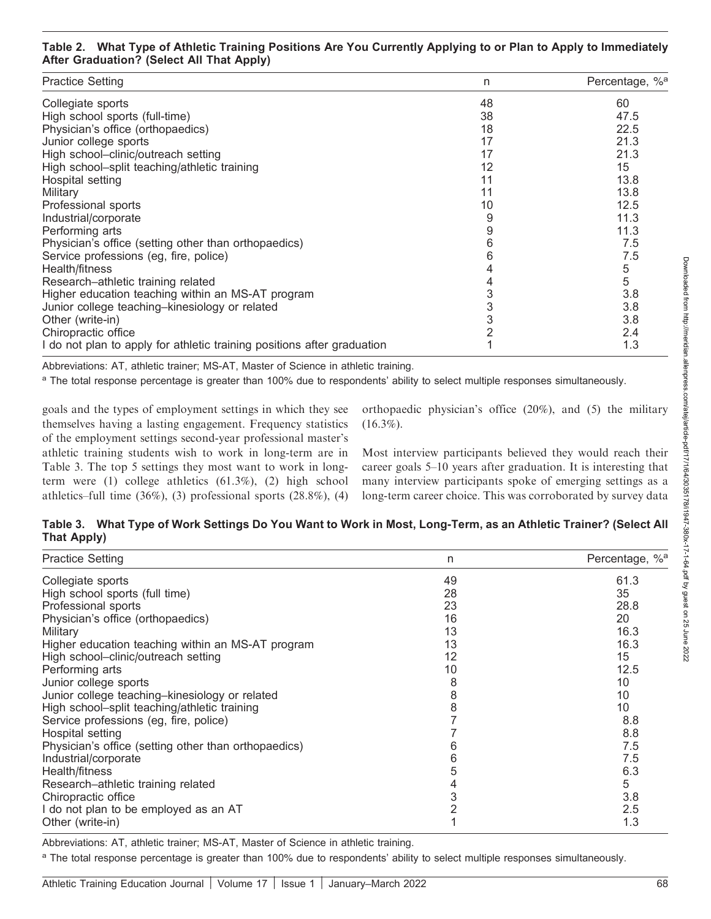#### Table 2. What Type of Athletic Training Positions Are You Currently Applying to or Plan to Apply to Immediately After Graduation? (Select All That Apply)

| <b>Practice Setting</b>                                                 | n  | Percentage, % <sup>a</sup> |
|-------------------------------------------------------------------------|----|----------------------------|
| Collegiate sports                                                       | 48 | 60                         |
| High school sports (full-time)                                          | 38 | 47.5                       |
| Physician's office (orthopaedics)                                       | 18 | 22.5                       |
| Junior college sports                                                   | 17 | 21.3                       |
| High school-clinic/outreach setting                                     | 17 | 21.3                       |
| High school-split teaching/athletic training                            | 12 | 15                         |
| Hospital setting                                                        | 11 | 13.8                       |
| Military                                                                | 11 | 13.8                       |
| Professional sports                                                     | 10 | 12.5                       |
| Industrial/corporate                                                    | 9  | 11.3                       |
| Performing arts                                                         | 9  | 11.3                       |
| Physician's office (setting other than orthopaedics)                    | 6  | 7.5                        |
| Service professions (eg, fire, police)                                  | 6  | 7.5                        |
| Health/fitness                                                          |    | 5                          |
| Research-athletic training related                                      |    | 5                          |
| Higher education teaching within an MS-AT program                       |    | 3.8                        |
| Junior college teaching-kinesiology or related                          | 3  | 3.8                        |
| Other (write-in)                                                        |    | 3.8                        |
| Chiropractic office                                                     |    | 2.4                        |
| I do not plan to apply for athletic training positions after graduation |    | 1.3                        |

Abbreviations: AT, athletic trainer; MS-AT, Master of Science in athletic training.

<sup>a</sup> The total response percentage is greater than 100% due to respondents' ability to select multiple responses simultaneously.

goals and the types of employment settings in which they see themselves having a lasting engagement. Frequency statistics of the employment settings second-year professional master's athletic training students wish to work in long-term are in Table 3. The top 5 settings they most want to work in longterm were (1) college athletics (61.3%), (2) high school athletics–full time  $(36\%)$ ,  $(3)$  professional sports  $(28.8\%)$ ,  $(4)$  orthopaedic physician's office (20%), and (5) the military  $(16.3\%).$ 

Most interview participants believed they would reach their career goals 5–10 years after graduation. It is interesting that many interview participants spoke of emerging settings as a long-term career choice. This was corroborated by survey data

|             | Table 3. What Type of Work Settings Do You Want to Work in Most, Long-Term, as an Athletic Trainer? (Select All |
|-------------|-----------------------------------------------------------------------------------------------------------------|
| That Apply) |                                                                                                                 |

| <b>Practice Setting</b>                              | n  | Percentage, % <sup>a</sup> |
|------------------------------------------------------|----|----------------------------|
| Collegiate sports                                    | 49 | 61.3                       |
| High school sports (full time)                       | 28 | 35                         |
| Professional sports                                  | 23 | 28.8                       |
| Physician's office (orthopaedics)                    | 16 | 20                         |
| Military                                             | 13 | 16.3                       |
| Higher education teaching within an MS-AT program    | 13 | 16.3                       |
| High school-clinic/outreach setting                  | 12 | 15                         |
| Performing arts                                      | 10 | 12.5                       |
| Junior college sports                                | 8  | 10                         |
| Junior college teaching-kinesiology or related       | 8  | 10                         |
| High school-split teaching/athletic training         | 8  | 10                         |
| Service professions (eg, fire, police)               |    | 8.8                        |
| Hospital setting                                     |    | 8.8                        |
| Physician's office (setting other than orthopaedics) | h  | 7.5                        |
| Industrial/corporate                                 | 6  | 7.5                        |
| Health/fitness                                       | 5  | 6.3                        |
| Research-athletic training related                   |    | 5                          |
| Chiropractic office                                  | 3  | 3.8                        |
| I do not plan to be employed as an AT                | 2  | 2.5                        |
| Other (write-in)                                     |    | 1.3                        |

Abbreviations: AT, athletic trainer; MS-AT, Master of Science in athletic training.

<sup>a</sup> The total response percentage is greater than 100% due to respondents' ability to select multiple responses simultaneously.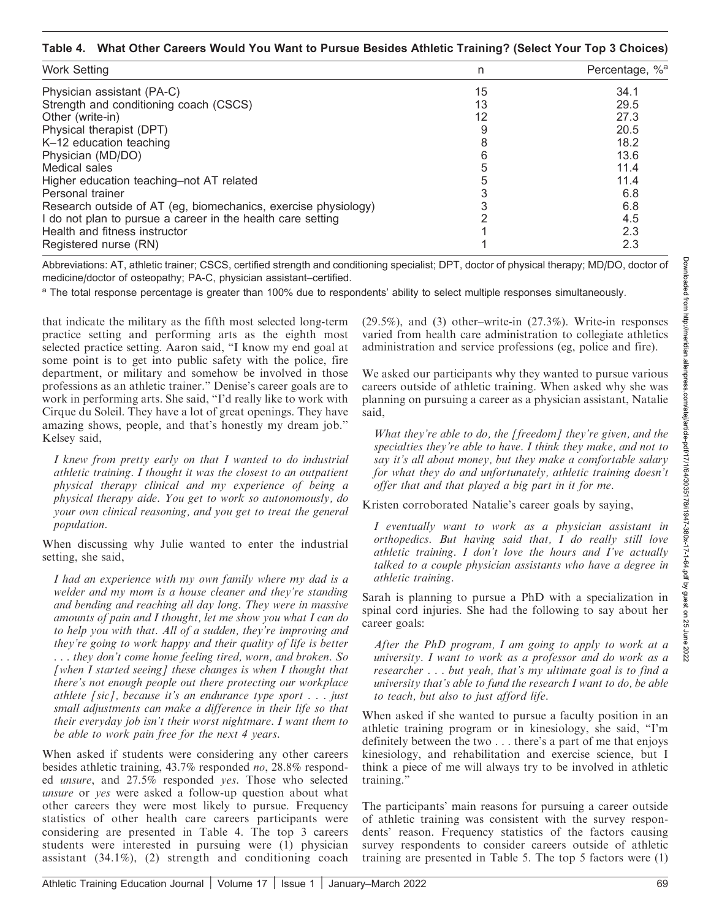#### Table 4. What Other Careers Would You Want to Pursue Besides Athletic Training? (Select Your Top 3 Choices)

| <b>Work Setting</b>                                            | n  | Percentage, % <sup>a</sup> |
|----------------------------------------------------------------|----|----------------------------|
| Physician assistant (PA-C)                                     | 15 | 34.1                       |
| Strength and conditioning coach (CSCS)                         | 13 | 29.5                       |
| Other (write-in)                                               | 12 | 27.3                       |
| Physical therapist (DPT)                                       |    | 20.5                       |
| K-12 education teaching                                        |    | 18.2                       |
| Physician (MD/DO)                                              |    | 13.6                       |
| Medical sales                                                  |    | 11.4                       |
| Higher education teaching-not AT related                       |    | 11.4                       |
| Personal trainer                                               |    | 6.8                        |
| Research outside of AT (eg, biomechanics, exercise physiology) |    | 6.8                        |
| I do not plan to pursue a career in the health care setting    |    | 4.5                        |
| Health and fitness instructor                                  |    | 2.3                        |
| Registered nurse (RN)                                          |    | 2.3                        |

Abbreviations: AT, athletic trainer; CSCS, certified strength and conditioning specialist; DPT, doctor of physical therapy; MD/DO, doctor of medicine/doctor of osteopathy; PA-C, physician assistant–certified.

a The total response percentage is greater than 100% due to respondents' ability to select multiple responses simultaneously.

that indicate the military as the fifth most selected long-term practice setting and performing arts as the eighth most selected practice setting. Aaron said, ''I know my end goal at some point is to get into public safety with the police, fire department, or military and somehow be involved in those professions as an athletic trainer.'' Denise's career goals are to work in performing arts. She said, "I'd really like to work with Cirque du Soleil. They have a lot of great openings. They have amazing shows, people, and that's honestly my dream job.'' Kelsey said,

I knew from pretty early on that I wanted to do industrial athletic training. I thought it was the closest to an outpatient physical therapy clinical and my experience of being a physical therapy aide. You get to work so autonomously, do your own clinical reasoning, and you get to treat the general population.

When discussing why Julie wanted to enter the industrial setting, she said,

I had an experience with my own family where my dad is a welder and my mom is a house cleaner and they're standing and bending and reaching all day long. They were in massive amounts of pain and I thought, let me show you what I can do to help you with that. All of a sudden, they're improving and they're going to work happy and their quality of life is better . . . they don't come home feeling tired, worn, and broken. So [when I started seeing] these changes is when I thought that there's not enough people out there protecting our workplace athlete [sic], because it's an endurance type sport  $\ldots$  just small adjustments can make a difference in their life so that their everyday job isn't their worst nightmare. I want them to be able to work pain free for the next 4 years.

When asked if students were considering any other careers besides athletic training, 43.7% responded no, 28.8% responded unsure, and 27.5% responded yes. Those who selected unsure or yes were asked a follow-up question about what other careers they were most likely to pursue. Frequency statistics of other health care careers participants were considering are presented in Table 4. The top 3 careers students were interested in pursuing were (1) physician assistant (34.1%), (2) strength and conditioning coach

(29.5%), and (3) other–write-in (27.3%). Write-in responses varied from health care administration to collegiate athletics administration and service professions (eg, police and fire).

We asked our participants why they wanted to pursue various careers outside of athletic training. When asked why she was planning on pursuing a career as a physician assistant, Natalie said,

What they're able to do, the [freedom] they're given, and the specialties they're able to have. I think they make, and not to say it's all about money, but they make a comfortable salary for what they do and unfortunately, athletic training doesn't offer that and that played a big part in it for me.

Kristen corroborated Natalie's career goals by saying,

I eventually want to work as a physician assistant in orthopedics. But having said that, I do really still love athletic training. I don't love the hours and I've actually talked to a couple physician assistants who have a degree in athletic training.

Sarah is planning to pursue a PhD with a specialization in spinal cord injuries. She had the following to say about her career goals:

After the PhD program, I am going to apply to work at a university. I want to work as a professor and do work as a researcher . . . but yeah, that's my ultimate goal is to find a university that's able to fund the research I want to do, be able to teach, but also to just afford life.

When asked if she wanted to pursue a faculty position in an athletic training program or in kinesiology, she said, ''I'm definitely between the two . . . there's a part of me that enjoys kinesiology, and rehabilitation and exercise science, but I think a piece of me will always try to be involved in athletic training.''

The participants' main reasons for pursuing a career outside of athletic training was consistent with the survey respondents' reason. Frequency statistics of the factors causing survey respondents to consider careers outside of athletic training are presented in Table 5. The top 5 factors were (1)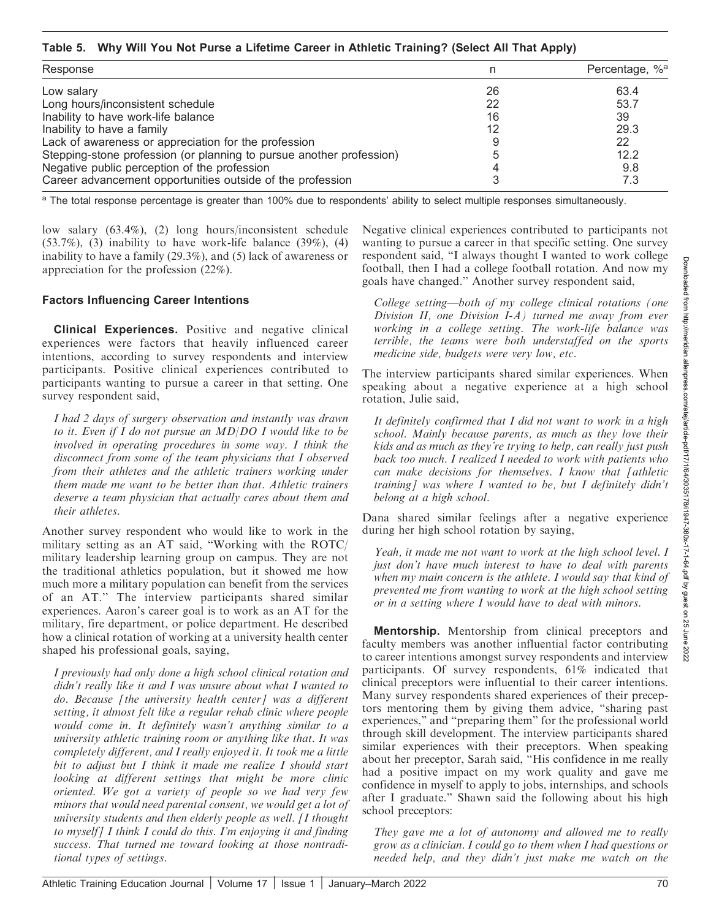#### Table 5. Why Will You Not Purse a Lifetime Career in Athletic Training? (Select All That Apply)

| Response                                                             |    | Percentage, % <sup>a</sup> |
|----------------------------------------------------------------------|----|----------------------------|
| Low salary                                                           | 26 | 63.4                       |
| Long hours/inconsistent schedule                                     | 22 | 53.7                       |
| Inability to have work-life balance                                  | 16 | 39                         |
| Inability to have a family                                           | 12 | 29.3                       |
| Lack of awareness or appreciation for the profession                 |    | 22                         |
| Stepping-stone profession (or planning to pursue another profession) |    | 12.2                       |
| Negative public perception of the profession                         |    | 9.8                        |
| Career advancement opportunities outside of the profession           |    | 7.3                        |

<sup>a</sup> The total response percentage is greater than 100% due to respondents' ability to select multiple responses simultaneously.

low salary (63.4%), (2) long hours/inconsistent schedule  $(53.7\%)$ ,  $(3)$  inability to have work-life balance  $(39\%)$ ,  $(4)$ inability to have a family (29.3%), and (5) lack of awareness or appreciation for the profession (22%).

#### Factors Influencing Career Intentions

**Clinical Experiences.** Positive and negative clinical experiences were factors that heavily influenced career intentions, according to survey respondents and interview participants. Positive clinical experiences contributed to participants wanting to pursue a career in that setting. One survey respondent said,

I had 2 days of surgery observation and instantly was drawn to it. Even if I do not pursue an MD/DO I would like to be involved in operating procedures in some way. I think the disconnect from some of the team physicians that I observed from their athletes and the athletic trainers working under them made me want to be better than that. Athletic trainers deserve a team physician that actually cares about them and their athletes.

Another survey respondent who would like to work in the military setting as an AT said, ''Working with the ROTC/ military leadership learning group on campus. They are not the traditional athletics population, but it showed me how much more a military population can benefit from the services of an AT.'' The interview participants shared similar experiences. Aaron's career goal is to work as an AT for the military, fire department, or police department. He described how a clinical rotation of working at a university health center shaped his professional goals, saying,

I previously had only done a high school clinical rotation and didn't really like it and I was unsure about what I wanted to do. Because [the university health center] was a different setting, it almost felt like a regular rehab clinic where people would come in. It definitely wasn't anything similar to a university athletic training room or anything like that. It was completely different, and I really enjoyed it. It took me a little bit to adjust but I think it made me realize I should start looking at different settings that might be more clinic oriented. We got a variety of people so we had very few minors that would need parental consent, we would get a lot of university students and then elderly people as well. [I thought to myself] I think I could do this. I'm enjoying it and finding success. That turned me toward looking at those nontraditional types of settings.

Negative clinical experiences contributed to participants not wanting to pursue a career in that specific setting. One survey respondent said, ''I always thought I wanted to work college football, then I had a college football rotation. And now my goals have changed.'' Another survey respondent said,

College setting—both of my college clinical rotations (one Division II, one Division I-A) turned me away from ever working in a college setting. The work-life balance was terrible, the teams were both understaffed on the sports medicine side, budgets were very low, etc.

The interview participants shared similar experiences. When speaking about a negative experience at a high school rotation, Julie said,

It definitely confirmed that I did not want to work in a high school. Mainly because parents, as much as they love their kids and as much as they're trying to help, can really just push back too much. I realized I needed to work with patients who can make decisions for themselves. I know that [athletic training] was where I wanted to be, but I definitely didn't belong at a high school.

Dana shared similar feelings after a negative experience during her high school rotation by saying,

Yeah, it made me not want to work at the high school level. I just don't have much interest to have to deal with parents when my main concern is the athlete. I would say that kind of prevented me from wanting to work at the high school setting or in a setting where I would have to deal with minors.

Mentorship. Mentorship from clinical preceptors and faculty members was another influential factor contributing to career intentions amongst survey respondents and interview participants. Of survey respondents, 61% indicated that clinical preceptors were influential to their career intentions. Many survey respondents shared experiences of their preceptors mentoring them by giving them advice, ''sharing past experiences,'' and ''preparing them'' for the professional world through skill development. The interview participants shared similar experiences with their preceptors. When speaking about her preceptor, Sarah said, ''His confidence in me really had a positive impact on my work quality and gave me confidence in myself to apply to jobs, internships, and schools after I graduate.'' Shawn said the following about his high school preceptors:

They gave me a lot of autonomy and allowed me to really grow as a clinician. I could go to them when I had questions or needed help, and they didn't just make me watch on the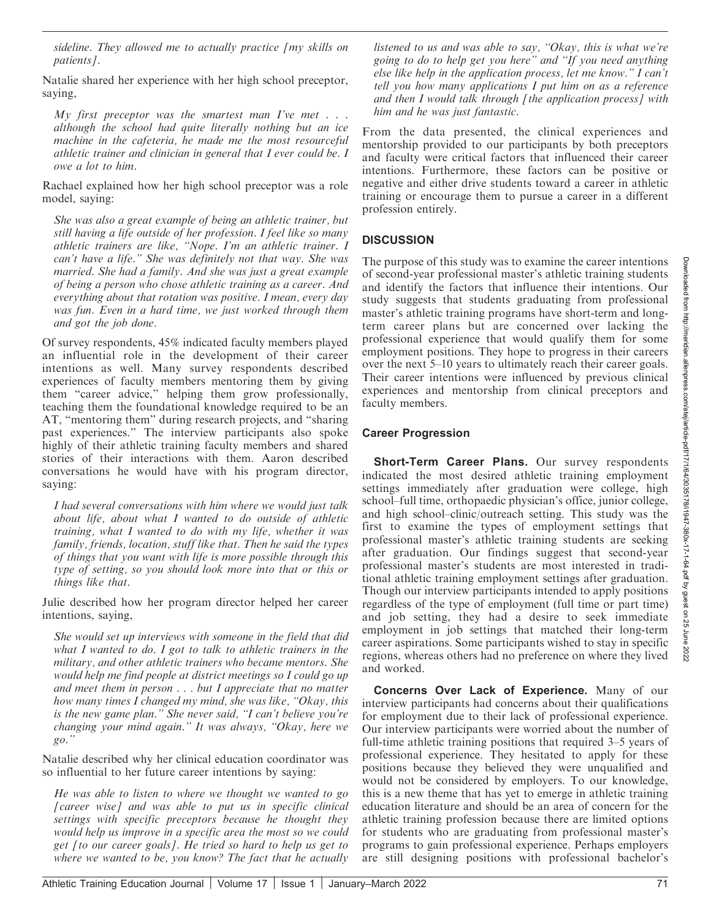although the school had quite literally nothing but an ice machine in the cafeteria, he made me the most resourceful

patients].

saying,

athletic trainer and clinician in general that I ever could be. I owe a lot to him.

sideline. They allowed me to actually practice [my skills on

Natalie shared her experience with her high school preceptor,

My first preceptor was the smartest man I've met  $\ldots$ 

Rachael explained how her high school preceptor was a role model, saying:

She was also a great example of being an athletic trainer, but still having a life outside of her profession. I feel like so many athletic trainers are like, ''Nope. I'm an athletic trainer. I can't have a life.'' She was definitely not that way. She was married. She had a family. And she was just a great example of being a person who chose athletic training as a career. And everything about that rotation was positive. I mean, every day was fun. Even in a hard time, we just worked through them and got the job done.

Of survey respondents, 45% indicated faculty members played an influential role in the development of their career intentions as well. Many survey respondents described experiences of faculty members mentoring them by giving them "career advice," helping them grow professionally, teaching them the foundational knowledge required to be an AT, ''mentoring them'' during research projects, and ''sharing past experiences.'' The interview participants also spoke highly of their athletic training faculty members and shared stories of their interactions with them. Aaron described conversations he would have with his program director, saying:

I had several conversations with him where we would just talk about life, about what I wanted to do outside of athletic training, what I wanted to do with my life, whether it was family, friends, location, stuff like that. Then he said the types of things that you want with life is more possible through this type of setting, so you should look more into that or this or things like that.

Julie described how her program director helped her career intentions, saying,

She would set up interviews with someone in the field that did what I wanted to do. I got to talk to athletic trainers in the military, and other athletic trainers who became mentors. She would help me find people at district meetings so I could go up and meet them in person . . . but I appreciate that no matter how many times I changed my mind, she was like, ''Okay, this is the new game plan.'' She never said, ''I can't believe you're changing your mind again.'' It was always, ''Okay, here we  $g_0$ ."

Natalie described why her clinical education coordinator was so influential to her future career intentions by saying:

He was able to listen to where we thought we wanted to go [career wise] and was able to put us in specific clinical settings with specific preceptors because he thought they would help us improve in a specific area the most so we could get [to our career goals]. He tried so hard to help us get to where we wanted to be, you know? The fact that he actually

listened to us and was able to say, ''Okay, this is what we're going to do to help get you here'' and ''If you need anything else like help in the application process, let me know.'' I can't tell you how many applications I put him on as a reference and then  $I$  would talk through  $I$  the application process $I$  with him and he was just fantastic.

From the data presented, the clinical experiences and mentorship provided to our participants by both preceptors and faculty were critical factors that influenced their career intentions. Furthermore, these factors can be positive or negative and either drive students toward a career in athletic training or encourage them to pursue a career in a different profession entirely.

#### **DISCUSSION**

The purpose of this study was to examine the career intentions of second-year professional master's athletic training students and identify the factors that influence their intentions. Our study suggests that students graduating from professional master's athletic training programs have short-term and longterm career plans but are concerned over lacking the professional experience that would qualify them for some employment positions. They hope to progress in their careers over the next 5–10 years to ultimately reach their career goals. Their career intentions were influenced by previous clinical experiences and mentorship from clinical preceptors and faculty members.

#### Career Progression

**Short-Term Career Plans.** Our survey respondents indicated the most desired athletic training employment settings immediately after graduation were college, high school–full time, orthopaedic physician's office, junior college, and high school–clinic/outreach setting. This study was the first to examine the types of employment settings that professional master's athletic training students are seeking after graduation. Our findings suggest that second-year professional master's students are most interested in traditional athletic training employment settings after graduation. Though our interview participants intended to apply positions regardless of the type of employment (full time or part time) and job setting, they had a desire to seek immediate employment in job settings that matched their long-term career aspirations. Some participants wished to stay in specific regions, whereas others had no preference on where they lived and worked.

Concerns Over Lack of Experience. Many of our interview participants had concerns about their qualifications for employment due to their lack of professional experience. Our interview participants were worried about the number of full-time athletic training positions that required 3–5 years of professional experience. They hesitated to apply for these positions because they believed they were unqualified and would not be considered by employers. To our knowledge, this is a new theme that has yet to emerge in athletic training education literature and should be an area of concern for the athletic training profession because there are limited options for students who are graduating from professional master's programs to gain professional experience. Perhaps employers are still designing positions with professional bachelor's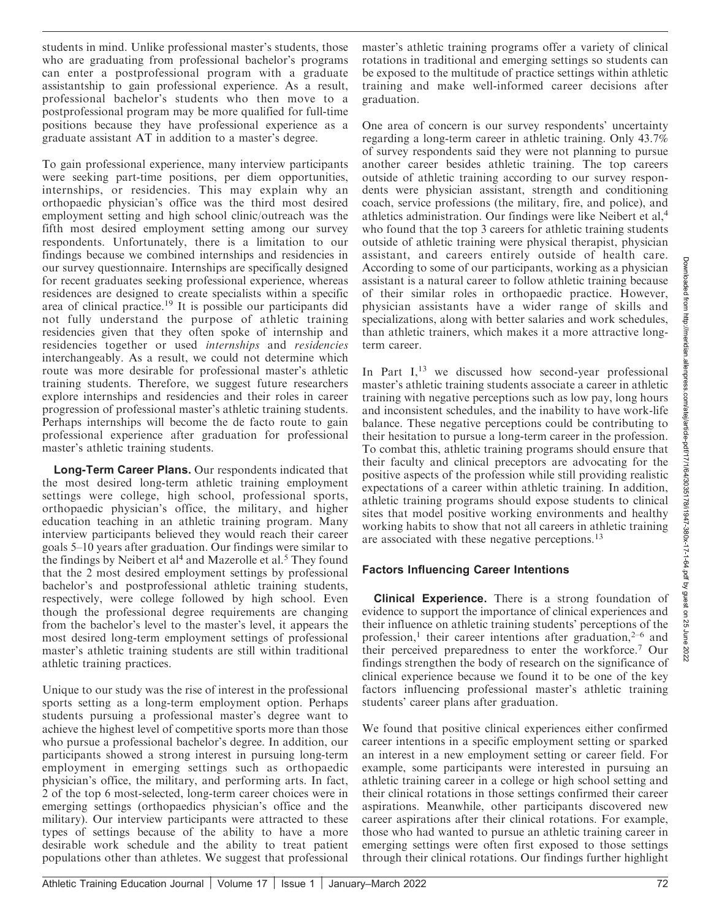students in mind. Unlike professional master's students, those who are graduating from professional bachelor's programs can enter a postprofessional program with a graduate assistantship to gain professional experience. As a result, professional bachelor's students who then move to a postprofessional program may be more qualified for full-time positions because they have professional experience as a graduate assistant AT in addition to a master's degree.

To gain professional experience, many interview participants were seeking part-time positions, per diem opportunities, internships, or residencies. This may explain why an orthopaedic physician's office was the third most desired employment setting and high school clinic/outreach was the fifth most desired employment setting among our survey respondents. Unfortunately, there is a limitation to our findings because we combined internships and residencies in our survey questionnaire. Internships are specifically designed for recent graduates seeking professional experience, whereas residences are designed to create specialists within a specific area of clinical practice.<sup>19</sup> It is possible our participants did not fully understand the purpose of athletic training residencies given that they often spoke of internship and residencies together or used internships and residencies interchangeably. As a result, we could not determine which route was more desirable for professional master's athletic training students. Therefore, we suggest future researchers explore internships and residencies and their roles in career progression of professional master's athletic training students. Perhaps internships will become the de facto route to gain professional experience after graduation for professional master's athletic training students.

Long-Term Career Plans. Our respondents indicated that the most desired long-term athletic training employment settings were college, high school, professional sports, orthopaedic physician's office, the military, and higher education teaching in an athletic training program. Many interview participants believed they would reach their career goals 5–10 years after graduation. Our findings were similar to the findings by Neibert et al<sup>4</sup> and Mazerolle et al.<sup>5</sup> They found that the 2 most desired employment settings by professional bachelor's and postprofessional athletic training students, respectively, were college followed by high school. Even though the professional degree requirements are changing from the bachelor's level to the master's level, it appears the most desired long-term employment settings of professional master's athletic training students are still within traditional athletic training practices.

Unique to our study was the rise of interest in the professional sports setting as a long-term employment option. Perhaps students pursuing a professional master's degree want to achieve the highest level of competitive sports more than those who pursue a professional bachelor's degree. In addition, our participants showed a strong interest in pursuing long-term employment in emerging settings such as orthopaedic physician's office, the military, and performing arts. In fact, 2 of the top 6 most-selected, long-term career choices were in emerging settings (orthopaedics physician's office and the military). Our interview participants were attracted to these types of settings because of the ability to have a more desirable work schedule and the ability to treat patient populations other than athletes. We suggest that professional master's athletic training programs offer a variety of clinical rotations in traditional and emerging settings so students can be exposed to the multitude of practice settings within athletic training and make well-informed career decisions after graduation.

One area of concern is our survey respondents' uncertainty regarding a long-term career in athletic training. Only 43.7% of survey respondents said they were not planning to pursue another career besides athletic training. The top careers outside of athletic training according to our survey respondents were physician assistant, strength and conditioning coach, service professions (the military, fire, and police), and athletics administration. Our findings were like Neibert et al,<sup>4</sup> who found that the top 3 careers for athletic training students outside of athletic training were physical therapist, physician assistant, and careers entirely outside of health care. According to some of our participants, working as a physician assistant is a natural career to follow athletic training because of their similar roles in orthopaedic practice. However, physician assistants have a wider range of skills and specializations, along with better salaries and work schedules, than athletic trainers, which makes it a more attractive longterm career.

In Part  $I<sub>13</sub>$  we discussed how second-year professional master's athletic training students associate a career in athletic training with negative perceptions such as low pay, long hours and inconsistent schedules, and the inability to have work-life balance. These negative perceptions could be contributing to their hesitation to pursue a long-term career in the profession. To combat this, athletic training programs should ensure that their faculty and clinical preceptors are advocating for the positive aspects of the profession while still providing realistic expectations of a career within athletic training. In addition, athletic training programs should expose students to clinical sites that model positive working environments and healthy working habits to show that not all careers in athletic training are associated with these negative perceptions.<sup>13</sup>

## Factors Influencing Career Intentions

Clinical Experience. There is a strong foundation of evidence to support the importance of clinical experiences and their influence on athletic training students' perceptions of the profession,<sup>1</sup> their career intentions after graduation,<sup>2-6</sup> and their perceived preparedness to enter the workforce.<sup>7</sup> Our findings strengthen the body of research on the significance of clinical experience because we found it to be one of the key factors influencing professional master's athletic training students' career plans after graduation.

We found that positive clinical experiences either confirmed career intentions in a specific employment setting or sparked an interest in a new employment setting or career field. For example, some participants were interested in pursuing an athletic training career in a college or high school setting and their clinical rotations in those settings confirmed their career aspirations. Meanwhile, other participants discovered new career aspirations after their clinical rotations. For example, those who had wanted to pursue an athletic training career in emerging settings were often first exposed to those settings through their clinical rotations. Our findings further highlight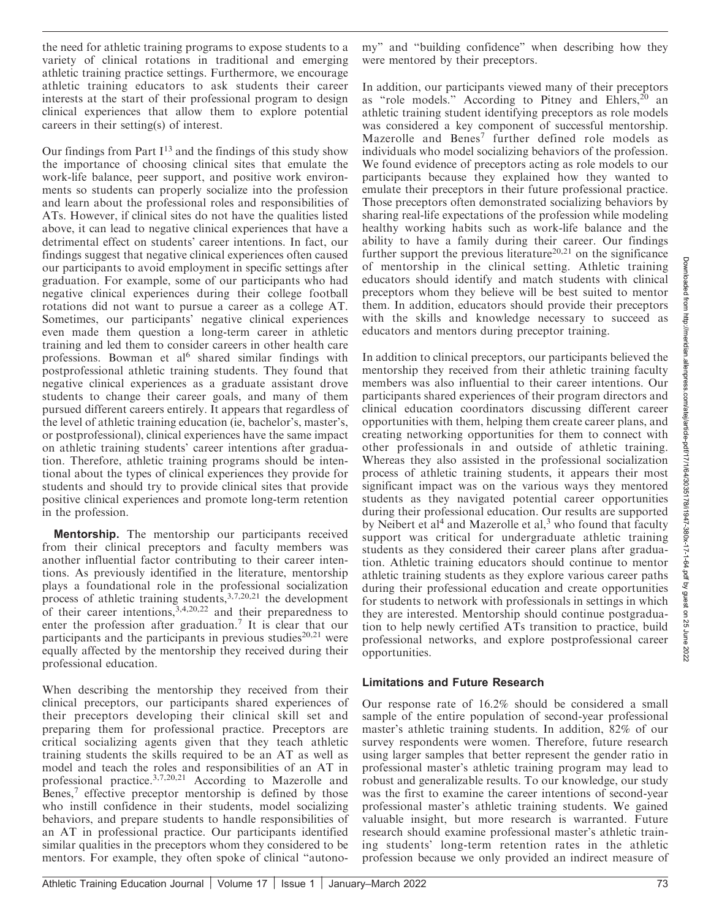the need for athletic training programs to expose students to a variety of clinical rotations in traditional and emerging athletic training practice settings. Furthermore, we encourage athletic training educators to ask students their career interests at the start of their professional program to design clinical experiences that allow them to explore potential careers in their setting(s) of interest.

Our findings from Part  $I^{13}$  and the findings of this study show the importance of choosing clinical sites that emulate the work-life balance, peer support, and positive work environments so students can properly socialize into the profession and learn about the professional roles and responsibilities of ATs. However, if clinical sites do not have the qualities listed above, it can lead to negative clinical experiences that have a detrimental effect on students' career intentions. In fact, our findings suggest that negative clinical experiences often caused our participants to avoid employment in specific settings after graduation. For example, some of our participants who had negative clinical experiences during their college football rotations did not want to pursue a career as a college AT. Sometimes, our participants' negative clinical experiences even made them question a long-term career in athletic training and led them to consider careers in other health care professions. Bowman et al<sup>6</sup> shared similar findings with postprofessional athletic training students. They found that negative clinical experiences as a graduate assistant drove students to change their career goals, and many of them pursued different careers entirely. It appears that regardless of the level of athletic training education (ie, bachelor's, master's, or postprofessional), clinical experiences have the same impact on athletic training students' career intentions after graduation. Therefore, athletic training programs should be intentional about the types of clinical experiences they provide for students and should try to provide clinical sites that provide positive clinical experiences and promote long-term retention in the profession.

Mentorship. The mentorship our participants received from their clinical preceptors and faculty members was another influential factor contributing to their career intentions. As previously identified in the literature, mentorship plays a foundational role in the professional socialization process of athletic training students,3,7,20,21 the development of their career intentions,  $3,4,20,22$  and their preparedness to enter the profession after graduation.<sup>7</sup> It is clear that our participants and the participants in previous studies $20.21$  were equally affected by the mentorship they received during their professional education.

When describing the mentorship they received from their clinical preceptors, our participants shared experiences of their preceptors developing their clinical skill set and preparing them for professional practice. Preceptors are critical socializing agents given that they teach athletic training students the skills required to be an AT as well as model and teach the roles and responsibilities of an AT in professional practice.3,7,20,21 According to Mazerolle and Benes,<sup>7</sup> effective preceptor mentorship is defined by those who instill confidence in their students, model socializing behaviors, and prepare students to handle responsibilities of an AT in professional practice. Our participants identified similar qualities in the preceptors whom they considered to be mentors. For example, they often spoke of clinical ''autonomy'' and ''building confidence'' when describing how they were mentored by their preceptors.

In addition, our participants viewed many of their preceptors as "role models." According to Pitney and Ehlers, $20$  an athletic training student identifying preceptors as role models was considered a key component of successful mentorship. Mazerolle and Benes<sup>7</sup> further defined role models as individuals who model socializing behaviors of the profession. We found evidence of preceptors acting as role models to our participants because they explained how they wanted to emulate their preceptors in their future professional practice. Those preceptors often demonstrated socializing behaviors by sharing real-life expectations of the profession while modeling healthy working habits such as work-life balance and the ability to have a family during their career. Our findings further support the previous literature<sup>20,21</sup> on the significance of mentorship in the clinical setting. Athletic training educators should identify and match students with clinical preceptors whom they believe will be best suited to mentor them. In addition, educators should provide their preceptors with the skills and knowledge necessary to succeed as educators and mentors during preceptor training.

In addition to clinical preceptors, our participants believed the mentorship they received from their athletic training faculty members was also influential to their career intentions. Our participants shared experiences of their program directors and clinical education coordinators discussing different career opportunities with them, helping them create career plans, and creating networking opportunities for them to connect with other professionals in and outside of athletic training. Whereas they also assisted in the professional socialization process of athletic training students, it appears their most significant impact was on the various ways they mentored students as they navigated potential career opportunities during their professional education. Our results are supported by Neibert et al<sup>4</sup> and Mazerolle et al,<sup>3</sup> who found that faculty support was critical for undergraduate athletic training students as they considered their career plans after graduation. Athletic training educators should continue to mentor athletic training students as they explore various career paths during their professional education and create opportunities for students to network with professionals in settings in which they are interested. Mentorship should continue postgraduation to help newly certified ATs transition to practice, build professional networks, and explore postprofessional career opportunities.

#### Limitations and Future Research

Our response rate of 16.2% should be considered a small sample of the entire population of second-year professional master's athletic training students. In addition, 82% of our survey respondents were women. Therefore, future research using larger samples that better represent the gender ratio in professional master's athletic training program may lead to robust and generalizable results. To our knowledge, our study was the first to examine the career intentions of second-year professional master's athletic training students. We gained valuable insight, but more research is warranted. Future research should examine professional master's athletic training students' long-term retention rates in the athletic profession because we only provided an indirect measure of